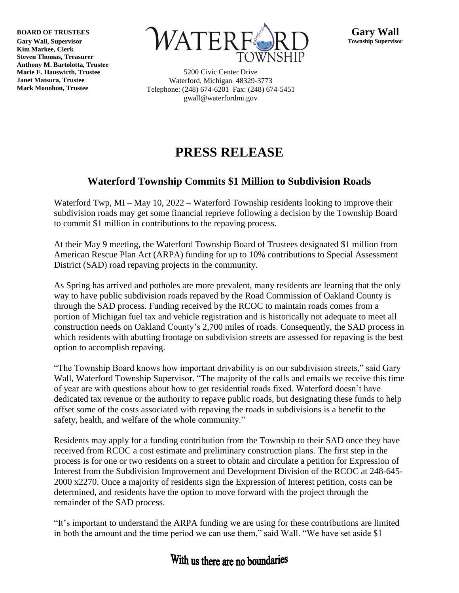**BOARD OF TRUSTEES**

**Gary Wall, Supervisor Kim Markee, Clerk Steven Thomas, Treasurer Anthony M. Bartolotta, Trustee Marie E. Hauswirth, Trustee Janet Matsura, Trustee Mark Monohon, Trustee**



5200 Civic Center Drive Waterford, Michigan 48329-3773 Telephone: (248) 674-6201 Fax: (248) 674-5451 gwall@waterfordmi.gov

## **PRESS RELEASE**

## **Waterford Township Commits \$1 Million to Subdivision Roads**

Waterford Twp, MI – May 10, 2022 – Waterford Township residents looking to improve their subdivision roads may get some financial reprieve following a decision by the Township Board to commit \$1 million in contributions to the repaving process.

At their May 9 meeting, the Waterford Township Board of Trustees designated \$1 million from American Rescue Plan Act (ARPA) funding for up to 10% contributions to Special Assessment District (SAD) road repaving projects in the community.

As Spring has arrived and potholes are more prevalent, many residents are learning that the only way to have public subdivision roads repaved by the Road Commission of Oakland County is through the SAD process. Funding received by the RCOC to maintain roads comes from a portion of Michigan fuel tax and vehicle registration and is historically not adequate to meet all construction needs on Oakland County's 2,700 miles of roads. Consequently, the SAD process in which residents with abutting frontage on subdivision streets are assessed for repaving is the best option to accomplish repaving.

"The Township Board knows how important drivability is on our subdivision streets," said Gary Wall, Waterford Township Supervisor. "The majority of the calls and emails we receive this time of year are with questions about how to get residential roads fixed. Waterford doesn't have dedicated tax revenue or the authority to repave public roads, but designating these funds to help offset some of the costs associated with repaving the roads in subdivisions is a benefit to the safety, health, and welfare of the whole community."

Residents may apply for a funding contribution from the Township to their SAD once they have received from RCOC a cost estimate and preliminary construction plans. The first step in the process is for one or two residents on a street to obtain and circulate a petition for Expression of Interest from the Subdivision Improvement and Development Division of the RCOC at 248-645- 2000 x2270. Once a majority of residents sign the Expression of Interest petition, costs can be determined, and residents have the option to move forward with the project through the remainder of the SAD process.

"It's important to understand the ARPA funding we are using for these contributions are limited in both the amount and the time period we can use them," said Wall. "We have set aside \$1

## With us there are no boundaries